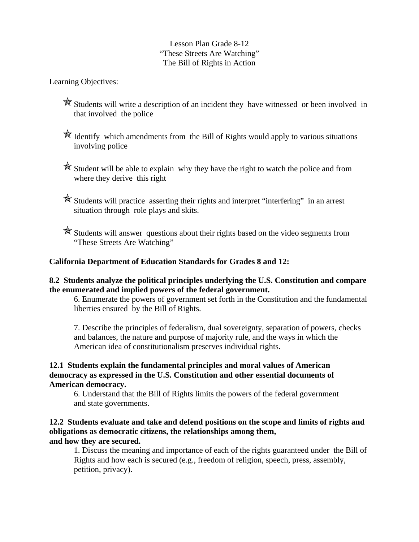# Lesson Plan Grade 8-12 "These Streets Are Watching" The Bill of Rights in Action

Learning Objectives:

- Students will write a description of an incident they have witnessed or been involved in that involved the police
- $\mathbb{\hat{X}}$  Identify which amendments from the Bill of Rights would apply to various situations involving police
- $\mathbb{\hat{R}}$  Student will be able to explain why they have the right to watch the police and from where they derive this right
- Students will practice asserting their rights and interpret "interfering" in an arrest situation through role plays and skits.
- Students will answer questions about their rights based on the video segments from "These Streets Are Watching"

# **California Department of Education Standards for Grades 8 and 12:**

## **8.2 Students analyze the political principles underlying the U.S. Constitution and compare the enumerated and implied powers of the federal government.**

6. Enumerate the powers of government set forth in the Constitution and the fundamental liberties ensured by the Bill of Rights.

7. Describe the principles of federalism, dual sovereignty, separation of powers, checks and balances, the nature and purpose of majority rule, and the ways in which the American idea of constitutionalism preserves individual rights.

## **12.1 Students explain the fundamental principles and moral values of American democracy as expressed in the U.S. Constitution and other essential documents of American democracy.**

6. Understand that the Bill of Rights limits the powers of the federal government and state governments.

#### **12.2 Students evaluate and take and defend positions on the scope and limits of rights and obligations as democratic citizens, the relationships among them, and how they are secured.**

1. Discuss the meaning and importance of each of the rights guaranteed under the Bill of Rights and how each is secured (e.g., freedom of religion, speech, press, assembly, petition, privacy).